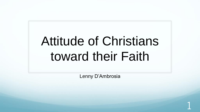# Attitude of Christians toward their Faith

Lenny D'Ambrosia

1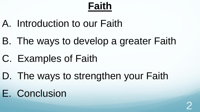## **Faith**

- A. Introduction to our Faith
- B. The ways to develop a greater Faith
- C. Examples of Faith
- D. The ways to strengthen your Faith
- E. Conclusion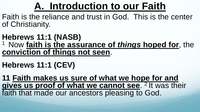## **A. Introduction to our Faith**

Faith is the reliance and trust in God. This is the center of Christianity.

#### **Hebrews 11:1 (NASB)** <sup>1</sup> Now faith is the assurance of *things* hoped for, the **conviction of things not seen**.

#### **Hebrews 11:1 (CEV)**

**11 Faith makes us sure of what we hope for and**  gives us proof of what we cannot see. <sup>2</sup> It was their faith that made our ancestors pleasing to God.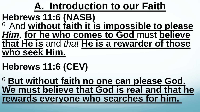#### **A. Introduction to our Faith Hebrews 11:6 (NASB)** <sup>6</sup>And **without faith it is impossible to please**  *Him,* **for he who comes to God** must **believe that He is** and *that* **He is a rewarder of those who seek Him.**

## **Hebrews 11:6 (CEV)**

<sup>6</sup> **But without faith no one can please God. We must believe that God is real and that he rewards everyone who searches for him.**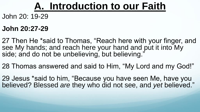#### **A. Introduction to our Faith**

John 20: 19-29

#### **John 20:27-29**

27 Then He \*said to Thomas, "Reach here with your finger, and see My hands; and reach here your hand and put it into My side; and do not be unbelieving, but believing."

28 Thomas answered and said to Him, "My Lord and my God!"

29 Jesus \*said to him, "Because you have seen Me, have you believed? Blessed *are* they who did not see, and *yet* believed."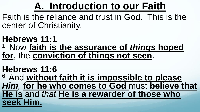## **A. Introduction to our Faith**

Faith is the reliance and trust in God. This is the center of Christianity.

#### **Hebrews 11:1** <sup>1</sup> Now faith is the assurance of *things* hoped **for**, the **conviction of things not seen**.

#### **Hebrews 11:6**

<sup>6</sup>And **without faith it is impossible to please**  *Him,* **for he who comes to God** must **believe that He is** and *that* **He is a rewarder of those who seek Him.**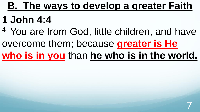## **1 John 4:4**

<sup>4</sup> You are from God, little children, and have overcome them; because **greater is He who is in you** than **he who is in the world.** 

7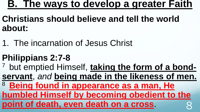- **Christians should believe and tell the world about:**
- 1. The incarnation of Jesus Christ

#### **Philippians 2:7-8**

7 but emptied Himself, **taking the form of a bondservant**, *and* **being made in the likeness of men.** <sup>8</sup> Being found in appearance as a man, He **humbled Himself by becoming obedient to the point of death, even death on a cross.**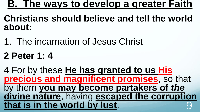#### **Christians should believe and tell the world about:**

- 1. The incarnation of Jesus Christ
- **2 Peter 1: 4**

4 For by these **He has granted to us His precious and magnificent promises**, so that by them **you may become partakers of** *the* **divine nature**, having **escaped the corruption that is in the world by lust.** 9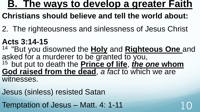- **Christians should believe and tell the world about:**
- 2. The righteousness and sinlessness of Jesus Christ
- **Acts 3:14-15**
- <sup>14</sup>"But you disowned the **Holy** and **Righteous One** and asked for a murderer to be granted to you, <sup>15</sup> but put to death the **Prince of life**, *the one* whom **God raised from the dead**, *a fact* to which we are witnesses.
- Jesus (sinless) resisted Satan
- Temptation of Jesus Matt. 4: 1-11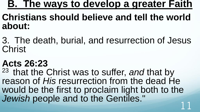#### **Christians should believe and tell the world about:**

3. The death, burial, and resurrection of Jesus **Christ** 

#### **Acts 26:23**

<sup>23</sup> that the Christ was to suffer, and that by reason of *His* resurrection from the dead He would be the first to proclaim light both to the *Jewish* people and to the Gentiles." 11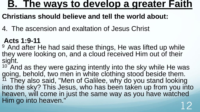#### **Christians should believe and tell the world about:**

4. The ascension and exaltation of Jesus Christ

#### **Acts 1:9-11**

<sup>9</sup> And after He had said these things, He was lifted up while they were looking on, and a cloud received Him out of their sight.

 $10<sup>o</sup>$  And as they were gazing intently into the sky while He was going, behold, two men in white clothing stood beside them.  $11$  They also said, "Men of Galilee, why do you stand looking into the sky? This Jesus, who has been taken up from you into heaven, will come in just the same way as you have watched Him go into heaven."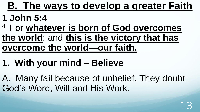#### **1 John 5:4**

- <sup>4</sup>For **whatever is born of God overcomes the world**; and **this is the victory that has overcome the world—our faith.**
- **1. With your mind – Believe**
- A. Many fail because of unbelief. They doubt God's Word, Will and His Work.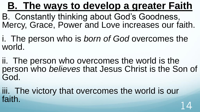B. Constantly thinking about God's Goodness, Mercy, Grace, Power and Love increases our faith.

i. The person who is *born of God* overcomes the world.

ii. The person who overcomes the world is the person who *believes* that Jesus Christ is the Son of God.

iii. The victory that overcomes the world is our faith.  $14$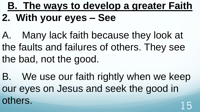**B. The ways to develop a greater Faith 2. With your eyes – See**

A. Many lack faith because they look at the faults and failures of others. They see the bad, not the good.

B. We use our faith rightly when we keep our eyes on Jesus and seek the good in others.<br>15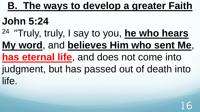## **John 5:24**

<sup>24</sup>"Truly, truly, I say to you, **he who hears** 

**My word**, and **believes Him who sent Me**,

#### **has eternal life**, and does not come into

judgment, but has passed out of death into life.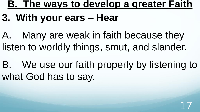## **3. With your ears – Hear**

A. Many are weak in faith because they listen to worldly things, smut, and slander.

B. We use our faith properly by listening to what God has to say.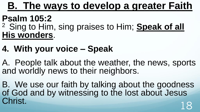#### **Psalm 105:2**

<sup>2</sup> Sing to Him, sing praises to Him; **Speak of all His wonders**.

#### **4. With your voice – Speak**

A. People talk about the weather, the news, sports and worldly news to their neighbors.

B. We use our faith by talking about the goodness of God and by witnessing to the lost about Jesus Christ. 18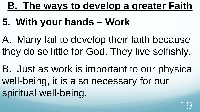## **5. With your hands – Work**

A. Many fail to develop their faith because they do so little for God. They live selfishly.

B. Just as work is important to our physical well-being, it is also necessary for our spiritual well-being.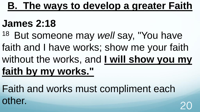### **James 2:18**

- <sup>18</sup> But someone may well say, "You have
- faith and I have works; show me your faith
- without the works, and **I will show you my**

## **faith by my works."**

Faith and works must compliment each other.<br>20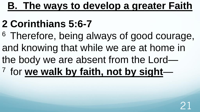## **2 Corinthians 5:6-7**

<sup>6</sup> Therefore, being always of good courage, and knowing that while we are at home in the body we are absent from the Lord— <sup>7</sup> for we walk by faith, not by sight-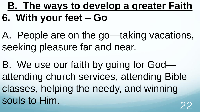## **B. The ways to develop a greater Faith 6. With your feet – Go**

- A. People are on the go—taking vacations, seeking pleasure far and near.
- B. We use our faith by going for God attending church services, attending Bible classes, helping the needy, and winning souls to Him.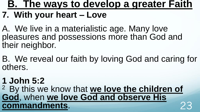#### **7. With your heart – Love**

A. We live in a materialistic age. Many love pleasures and possessions more than God and their neighbor.

B. We reveal our faith by loving God and caring for others.

#### **1 John 5:2** <sup>2</sup> By this we know that **we love the children of God**, when **we love God and observe His commandments**. 23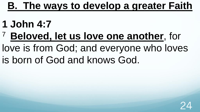- **1 John 4:7**
- <sup>7</sup>**Beloved, let us love one another**, for love is from God; and everyone who loves is born of God and knows God.

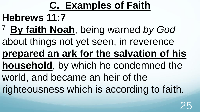### **C. Examples of Faith**

#### **Hebrews 11:7**

- <sup>7</sup>**By faith Noah**, being warned *by God*
- about things not yet seen, in reverence

## **prepared an ark for the salvation of his**

- **household**, by which he condemned the
- world, and became an heir of the
- righteousness which is according to faith.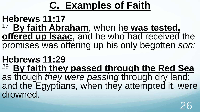## **C. Examples of Faith**

#### **Hebrews 11:17**

<sup>17</sup>**By faith Abraham**, when h**e was tested, offered up Isaac**, and he who had received the promises was offering up his only begotten *son;*

#### **Hebrews 11:29** <sup>29</sup>**By faith they passed through the Red Sea**  as though *they were passing* through dry land; and the Egyptians, when they attempted it, were drowned.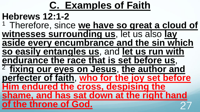## **C. Examples of Faith**

### **Hebrews 12:1-2**

<sup>1</sup> Therefore, since we have so great a cloud of **witnesses surrounding us**, let us also **lay aside every encumbrance and the sin which** 

**so easily entangles us**, and **let us run with endurance the race that is set before us**,

<sup>2</sup>**fixing our eyes on Jesus**, **the author and perfecter of faith**, **who for the joy set before** 

**Him endured the cross, despising the shame, and has sat down at the right hand of the throne of God.**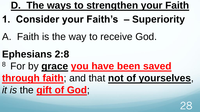- **1. Consider your Faith's – Superiority**
- A. Faith is the way to receive God.
- **Ephesians 2:8**
- <sup>8</sup>For by **grace you have been saved**
- **through faith**; and that **not of yourselves**,

28

*it is* the **gift of God**;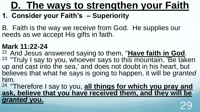#### **1. Consider your Faith's – Superiority**

B. Faith is the way we receive from God. He supplies our needs as we accept His gifts in faith.

#### **Mark 11:22-24**

<sup>22</sup>And Jesus answered saying to them, "**Have faith in God**. <sup>23</sup> "Truly I say to you, whoever says to this mountain, 'Be taken up and cast into the sea,' and does not doubt in his heart, but believes that what he says is going to happen, it will be *granted* him.

<sup>24</sup>"Therefore I say to you, **all things for which you pray and**  ask, believe that you have received them, and they will be granted you. *granted* **you.** <sup>29</sup>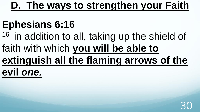## **Ephesians 6:16**

<sup>16</sup> in addition to all, taking up the shield of faith with which **you will be able to extinguish all the flaming arrows of the evil** *one.*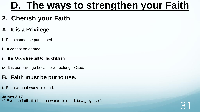#### **2. Cherish your Faith**

#### **A. It is a Privilege**

- i. Faith cannot be purchased.
- ii. It cannot be earned.
- iii. It is God's free gift to His children.
- iv. It is our privilege because we belong to God.

#### **B. Faith must be put to use.**

i. Faith without works is dead.

#### **James 2:17**

Even so faith, if it has no works, is dead, *being* by itself.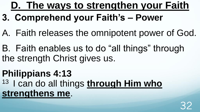- **3. Comprehend your Faith's – Power**
- A. Faith releases the omnipotent power of God.
- B. Faith enables us to do "all things" through the strength Christ gives us.
- **Philippians 4:13**  <sup>13</sup> I can do all things **through Him who strengthens me**.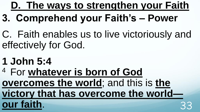- **3. Comprehend your Faith's – Power**
- C. Faith enables us to live victoriously and effectively for God.
- **1 John 5:4**
- <sup>4</sup> For whatever is born of God **overcomes the world**; and this is **the victory that has overcome the world our faith.**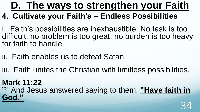#### **4. Cultivate your Faith's – Endless Possibilities**

i. Faith's possibilities are inexhaustible. No task is too difficult, no problem is too great, no burden is too heavy for faith to handle.

- ii. Faith enables us to defeat Satan.
- iii. Faith unites the Christian with limitless possibilities.

#### **Mark 11:22**

<sup>22</sup>And Jesus answered saying to them, **"Have faith in God."**  34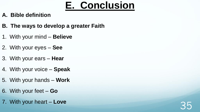### **E. Conclusion**

#### **A. Bible definition**

- **B. The ways to develop a greater Faith**
- 1. With your mind **Believe**
- 2. With your eyes **See**
- 3. With your ears **Hear**
- 4. With your voice **Speak**
- 5. With your hands **Work**
- 6. With your feet **Go**
- 7. With your heart **Love**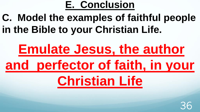#### **E. Conclusion**

## **C. Model the examples of faithful people in the Bible to your Christian Life.**

# **Emulate Jesus, the author and perfector of faith, in your**

# **Christian Life**